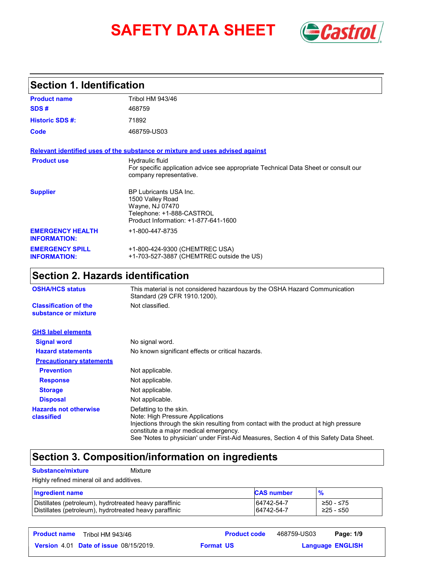# **SAFETY DATA SHEET** (*Castro*



#### Tribol HM 943/46 **Product name Section 1. Identification SDS # Historic SDS #:** 71892 **Product use** Hydraulic fluid For specific application advice see appropriate Technical Data Sheet or consult our company representative. **Code** 468759-US03 **Supplier** BP Lubricants USA Inc. 1500 Valley Road Wayne, NJ 07470 Telephone: +1-888-CASTROL Product Information: +1-877-641-1600 **EMERGENCY HEALTH INFORMATION:** +1-800-447-8735 **EMERGENCY SPILL INFORMATION:** +1-800-424-9300 (CHEMTREC USA) +1-703-527-3887 (CHEMTREC outside the US) 468759 **Relevant identified uses of the substance or mixture and uses advised against**

### **Section 2. Hazards identification**

| <b>OSHA/HCS status</b>                               | This material is not considered hazardous by the OSHA Hazard Communication<br>Standard (29 CFR 1910.1200).                                                                                                                                                                             |  |
|------------------------------------------------------|----------------------------------------------------------------------------------------------------------------------------------------------------------------------------------------------------------------------------------------------------------------------------------------|--|
| <b>Classification of the</b><br>substance or mixture | Not classified.                                                                                                                                                                                                                                                                        |  |
| <b>GHS label elements</b>                            |                                                                                                                                                                                                                                                                                        |  |
| <b>Signal word</b>                                   | No signal word.                                                                                                                                                                                                                                                                        |  |
| <b>Hazard statements</b>                             | No known significant effects or critical hazards.                                                                                                                                                                                                                                      |  |
| <b>Precautionary statements</b>                      |                                                                                                                                                                                                                                                                                        |  |
| <b>Prevention</b>                                    | Not applicable.                                                                                                                                                                                                                                                                        |  |
| <b>Response</b>                                      | Not applicable.                                                                                                                                                                                                                                                                        |  |
| <b>Storage</b>                                       | Not applicable.                                                                                                                                                                                                                                                                        |  |
| <b>Disposal</b>                                      | Not applicable.                                                                                                                                                                                                                                                                        |  |
| <b>Hazards not otherwise</b><br>classified           | Defatting to the skin.<br>Note: High Pressure Applications<br>Injections through the skin resulting from contact with the product at high pressure<br>constitute a major medical emergency.<br>See 'Notes to physician' under First-Aid Measures, Section 4 of this Safety Data Sheet. |  |

### **Section 3. Composition/information on ingredients**

#### **Substance/mixture** Mixture

Highly refined mineral oil and additives.

| <b>Ingredient name</b>                                 | <b>CAS number</b> |           |
|--------------------------------------------------------|-------------------|-----------|
| Distillates (petroleum), hydrotreated heavy paraffinic | 64742-54-7        | ≥50 - ≤75 |
| Distillates (petroleum), hydrotreated heavy paraffinic | 64742-54-7        | ≥25 - ≤50 |

**Product name Tribol HM 943/46 Product code 468759-US03 Page: 1/9 |** 

468759-US03 Page: 1/9

**Date of issue** 08/15/2019. **Format US State of Language ENGLIS** 

**Format US** 

**Language ENGLISH**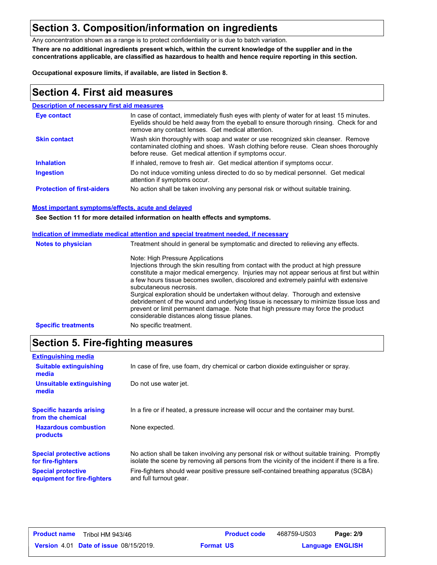## **Section 3. Composition/information on ingredients**

Any concentration shown as a range is to protect confidentiality or is due to batch variation.

**There are no additional ingredients present which, within the current knowledge of the supplier and in the concentrations applicable, are classified as hazardous to health and hence require reporting in this section.**

**Occupational exposure limits, if available, are listed in Section 8.**

### **Section 4. First aid measures**

## **Description of necessary first aid measures**

| <b>Eye contact</b>                | In case of contact, immediately flush eyes with plenty of water for at least 15 minutes.<br>Eyelids should be held away from the eyeball to ensure thorough rinsing. Check for and<br>remove any contact lenses. Get medical attention. |
|-----------------------------------|-----------------------------------------------------------------------------------------------------------------------------------------------------------------------------------------------------------------------------------------|
| <b>Skin contact</b>               | Wash skin thoroughly with soap and water or use recognized skin cleanser. Remove<br>contaminated clothing and shoes. Wash clothing before reuse. Clean shoes thoroughly<br>before reuse. Get medical attention if symptoms occur.       |
| <b>Inhalation</b>                 | If inhaled, remove to fresh air. Get medical attention if symptoms occur.                                                                                                                                                               |
| <b>Ingestion</b>                  | Do not induce vomiting unless directed to do so by medical personnel. Get medical<br>attention if symptoms occur.                                                                                                                       |
| <b>Protection of first-aiders</b> | No action shall be taken involving any personal risk or without suitable training.                                                                                                                                                      |

#### **Most important symptoms/effects, acute and delayed**

**See Section 11 for more detailed information on health effects and symptoms.**

|                            | Indication of immediate medical attention and special treatment needed, if necessary                                                                                                                                                                                                                                                                                                                                                                                                                                                                                                                                                                    |
|----------------------------|---------------------------------------------------------------------------------------------------------------------------------------------------------------------------------------------------------------------------------------------------------------------------------------------------------------------------------------------------------------------------------------------------------------------------------------------------------------------------------------------------------------------------------------------------------------------------------------------------------------------------------------------------------|
| <b>Notes to physician</b>  | Treatment should in general be symptomatic and directed to relieving any effects.                                                                                                                                                                                                                                                                                                                                                                                                                                                                                                                                                                       |
|                            | Note: High Pressure Applications<br>Injections through the skin resulting from contact with the product at high pressure<br>constitute a major medical emergency. Injuries may not appear serious at first but within<br>a few hours tissue becomes swollen, discolored and extremely painful with extensive<br>subcutaneous necrosis.<br>Surgical exploration should be undertaken without delay. Thorough and extensive<br>debridement of the wound and underlying tissue is necessary to minimize tissue loss and<br>prevent or limit permanent damage. Note that high pressure may force the product<br>considerable distances along tissue planes. |
| <b>Specific treatments</b> | No specific treatment.                                                                                                                                                                                                                                                                                                                                                                                                                                                                                                                                                                                                                                  |

## **Section 5. Fire-fighting measures**

| <b>Extinguishing media</b>                               |                                                                                                                                                                                                |
|----------------------------------------------------------|------------------------------------------------------------------------------------------------------------------------------------------------------------------------------------------------|
| <b>Suitable extinguishing</b><br>media                   | In case of fire, use foam, dry chemical or carbon dioxide extinguisher or spray.                                                                                                               |
| Unsuitable extinguishing<br>media                        | Do not use water jet.                                                                                                                                                                          |
| <b>Specific hazards arising</b><br>from the chemical     | In a fire or if heated, a pressure increase will occur and the container may burst.                                                                                                            |
| <b>Hazardous combustion</b><br>products                  | None expected.                                                                                                                                                                                 |
| <b>Special protective actions</b><br>for fire-fighters   | No action shall be taken involving any personal risk or without suitable training. Promptly<br>isolate the scene by removing all persons from the vicinity of the incident if there is a fire. |
| <b>Special protective</b><br>equipment for fire-fighters | Fire-fighters should wear positive pressure self-contained breathing apparatus (SCBA)<br>and full turnout gear.                                                                                |

| <b>Product name</b> | Tribol HM 943/46                              |                  | <b>Product code</b> | 468759-US03             | Page: 2/9 |  |
|---------------------|-----------------------------------------------|------------------|---------------------|-------------------------|-----------|--|
|                     | <b>Version 4.01 Date of issue 08/15/2019.</b> | <b>Format US</b> |                     | <b>Language ENGLISH</b> |           |  |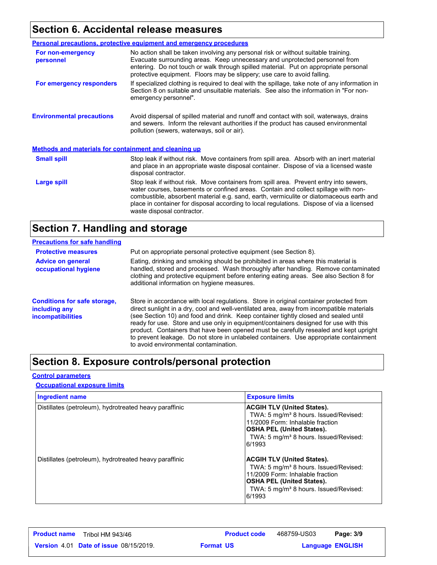## **Section 6. Accidental release measures**

|                                                              | Personal precautions, protective equipment and emergency procedures                                                                                                                                                                                                                                                                                                                                |  |
|--------------------------------------------------------------|----------------------------------------------------------------------------------------------------------------------------------------------------------------------------------------------------------------------------------------------------------------------------------------------------------------------------------------------------------------------------------------------------|--|
| For non-emergency<br>personnel                               | No action shall be taken involving any personal risk or without suitable training.<br>Evacuate surrounding areas. Keep unnecessary and unprotected personnel from<br>entering. Do not touch or walk through spilled material. Put on appropriate personal<br>protective equipment. Floors may be slippery; use care to avoid falling.                                                              |  |
| For emergency responders                                     | If specialized clothing is required to deal with the spillage, take note of any information in<br>Section 8 on suitable and unsuitable materials. See also the information in "For non-<br>emergency personnel".                                                                                                                                                                                   |  |
| <b>Environmental precautions</b>                             | Avoid dispersal of spilled material and runoff and contact with soil, waterways, drains<br>and sewers. Inform the relevant authorities if the product has caused environmental<br>pollution (sewers, waterways, soil or air).                                                                                                                                                                      |  |
| <b>Methods and materials for containment and cleaning up</b> |                                                                                                                                                                                                                                                                                                                                                                                                    |  |
| <b>Small spill</b>                                           | Stop leak if without risk. Move containers from spill area. Absorb with an inert material<br>and place in an appropriate waste disposal container. Dispose of via a licensed waste<br>disposal contractor.                                                                                                                                                                                         |  |
| Large spill                                                  | Stop leak if without risk. Move containers from spill area. Prevent entry into sewers,<br>water courses, basements or confined areas. Contain and collect spillage with non-<br>combustible, absorbent material e.g. sand, earth, vermiculite or diatomaceous earth and<br>place in container for disposal according to local regulations. Dispose of via a licensed<br>waste disposal contractor. |  |

## **Section 7. Handling and storage**

| <b>Precautions for safe handling</b>                                             |                                                                                                                                                                                                                                                                                                                                                                                                                                                                                                                                                                                               |
|----------------------------------------------------------------------------------|-----------------------------------------------------------------------------------------------------------------------------------------------------------------------------------------------------------------------------------------------------------------------------------------------------------------------------------------------------------------------------------------------------------------------------------------------------------------------------------------------------------------------------------------------------------------------------------------------|
| <b>Protective measures</b>                                                       | Put on appropriate personal protective equipment (see Section 8).                                                                                                                                                                                                                                                                                                                                                                                                                                                                                                                             |
| <b>Advice on general</b><br>occupational hygiene                                 | Eating, drinking and smoking should be prohibited in areas where this material is<br>handled, stored and processed. Wash thoroughly after handling. Remove contaminated<br>clothing and protective equipment before entering eating areas. See also Section 8 for<br>additional information on hygiene measures.                                                                                                                                                                                                                                                                              |
| <b>Conditions for safe storage,</b><br>including any<br><b>incompatibilities</b> | Store in accordance with local regulations. Store in original container protected from<br>direct sunlight in a dry, cool and well-ventilated area, away from incompatible materials<br>(see Section 10) and food and drink. Keep container tightly closed and sealed until<br>ready for use. Store and use only in equipment/containers designed for use with this<br>product. Containers that have been opened must be carefully resealed and kept upright<br>to prevent leakage. Do not store in unlabeled containers. Use appropriate containment<br>to avoid environmental contamination. |

## **Section 8. Exposure controls/personal protection**

#### **Control parameters**

### **Occupational exposure limits**

| <b>Ingredient name</b>                                 | <b>Exposure limits</b>                                                                                                                                                                                                        |
|--------------------------------------------------------|-------------------------------------------------------------------------------------------------------------------------------------------------------------------------------------------------------------------------------|
| Distillates (petroleum), hydrotreated heavy paraffinic | <b>ACGIH TLV (United States).</b><br>TWA: 5 mg/m <sup>3</sup> 8 hours. Issued/Revised:<br>11/2009 Form: Inhalable fraction<br><b>OSHA PEL (United States).</b><br>TWA: 5 mg/m <sup>3</sup> 8 hours. Issued/Revised:<br>6/1993 |
| Distillates (petroleum), hydrotreated heavy paraffinic | <b>ACGIH TLV (United States).</b><br>TWA: 5 mg/m <sup>3</sup> 8 hours. Issued/Revised:<br>11/2009 Form: Inhalable fraction<br><b>OSHA PEL (United States).</b><br>TWA: 5 mg/m <sup>3</sup> 8 hours. Issued/Revised:<br>6/1993 |

| <b>Product name</b><br>Tribol HM 943/46       | <b>Product code</b> | 468759-US03 | Page: 3/9               |  |
|-----------------------------------------------|---------------------|-------------|-------------------------|--|
| <b>Version 4.01 Date of issue 08/15/2019.</b> | <b>Format US</b>    |             | <b>Language ENGLISH</b> |  |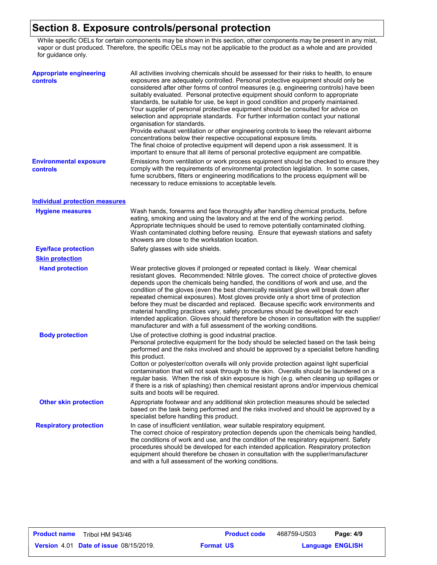### **Section 8. Exposure controls/personal protection**

While specific OELs for certain components may be shown in this section, other components may be present in any mist, vapor or dust produced. Therefore, the specific OELs may not be applicable to the product as a whole and are provided for guidance only.

| <b>Appropriate engineering</b><br><b>controls</b> | All activities involving chemicals should be assessed for their risks to health, to ensure<br>exposures are adequately controlled. Personal protective equipment should only be<br>considered after other forms of control measures (e.g. engineering controls) have been<br>suitably evaluated. Personal protective equipment should conform to appropriate<br>standards, be suitable for use, be kept in good condition and properly maintained.<br>Your supplier of personal protective equipment should be consulted for advice on<br>selection and appropriate standards. For further information contact your national<br>organisation for standards.<br>Provide exhaust ventilation or other engineering controls to keep the relevant airborne<br>concentrations below their respective occupational exposure limits.<br>The final choice of protective equipment will depend upon a risk assessment. It is<br>important to ensure that all items of personal protective equipment are compatible. |
|---------------------------------------------------|------------------------------------------------------------------------------------------------------------------------------------------------------------------------------------------------------------------------------------------------------------------------------------------------------------------------------------------------------------------------------------------------------------------------------------------------------------------------------------------------------------------------------------------------------------------------------------------------------------------------------------------------------------------------------------------------------------------------------------------------------------------------------------------------------------------------------------------------------------------------------------------------------------------------------------------------------------------------------------------------------------|
| <b>Environmental exposure</b><br><b>controls</b>  | Emissions from ventilation or work process equipment should be checked to ensure they<br>comply with the requirements of environmental protection legislation. In some cases,<br>fume scrubbers, filters or engineering modifications to the process equipment will be<br>necessary to reduce emissions to acceptable levels.                                                                                                                                                                                                                                                                                                                                                                                                                                                                                                                                                                                                                                                                              |
| <b>Individual protection measures</b>             |                                                                                                                                                                                                                                                                                                                                                                                                                                                                                                                                                                                                                                                                                                                                                                                                                                                                                                                                                                                                            |
| <b>Hygiene measures</b>                           | Wash hands, forearms and face thoroughly after handling chemical products, before<br>eating, smoking and using the lavatory and at the end of the working period.<br>Appropriate techniques should be used to remove potentially contaminated clothing.<br>Wash contaminated clothing before reusing. Ensure that eyewash stations and safety<br>showers are close to the workstation location.                                                                                                                                                                                                                                                                                                                                                                                                                                                                                                                                                                                                            |
| <b>Eye/face protection</b>                        | Safety glasses with side shields.                                                                                                                                                                                                                                                                                                                                                                                                                                                                                                                                                                                                                                                                                                                                                                                                                                                                                                                                                                          |
| <b>Skin protection</b>                            |                                                                                                                                                                                                                                                                                                                                                                                                                                                                                                                                                                                                                                                                                                                                                                                                                                                                                                                                                                                                            |
| <b>Hand protection</b>                            | Wear protective gloves if prolonged or repeated contact is likely. Wear chemical<br>resistant gloves. Recommended: Nitrile gloves. The correct choice of protective gloves<br>depends upon the chemicals being handled, the conditions of work and use, and the<br>condition of the gloves (even the best chemically resistant glove will break down after<br>repeated chemical exposures). Most gloves provide only a short time of protection<br>before they must be discarded and replaced. Because specific work environments and<br>material handling practices vary, safety procedures should be developed for each<br>intended application. Gloves should therefore be chosen in consultation with the supplier/<br>manufacturer and with a full assessment of the working conditions.                                                                                                                                                                                                              |
| <b>Body protection</b>                            | Use of protective clothing is good industrial practice.<br>Personal protective equipment for the body should be selected based on the task being<br>performed and the risks involved and should be approved by a specialist before handling<br>this product.<br>Cotton or polyester/cotton overalls will only provide protection against light superficial<br>contamination that will not soak through to the skin. Overalls should be laundered on a<br>regular basis. When the risk of skin exposure is high (e.g. when cleaning up spillages or<br>if there is a risk of splashing) then chemical resistant aprons and/or impervious chemical<br>suits and boots will be required.                                                                                                                                                                                                                                                                                                                      |
| <b>Other skin protection</b>                      | Appropriate footwear and any additional skin protection measures should be selected<br>based on the task being performed and the risks involved and should be approved by a<br>specialist before handling this product.                                                                                                                                                                                                                                                                                                                                                                                                                                                                                                                                                                                                                                                                                                                                                                                    |
| <b>Respiratory protection</b>                     | In case of insufficient ventilation, wear suitable respiratory equipment.<br>The correct choice of respiratory protection depends upon the chemicals being handled,<br>the conditions of work and use, and the condition of the respiratory equipment. Safety<br>procedures should be developed for each intended application. Respiratory protection<br>equipment should therefore be chosen in consultation with the supplier/manufacturer<br>and with a full assessment of the working conditions.                                                                                                                                                                                                                                                                                                                                                                                                                                                                                                      |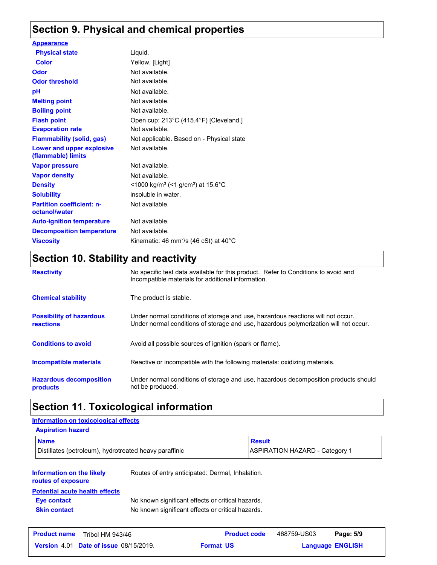## **Section 9. Physical and chemical properties**

| <b>Appearance</b>                                 |                                                              |
|---------------------------------------------------|--------------------------------------------------------------|
| <b>Physical state</b>                             | Liquid.                                                      |
| Color                                             | Yellow. [Light]                                              |
| Odor                                              | Not available.                                               |
| <b>Odor threshold</b>                             | Not available.                                               |
| рH                                                | Not available.                                               |
| <b>Melting point</b>                              | Not available.                                               |
| <b>Boiling point</b>                              | Not available.                                               |
| <b>Flash point</b>                                | Open cup: 213°C (415.4°F) [Cleveland.]                       |
| <b>Evaporation rate</b>                           | Not available.                                               |
| <b>Flammability (solid, gas)</b>                  | Not applicable. Based on - Physical state                    |
| Lower and upper explosive<br>(flammable) limits   | Not available.                                               |
| <b>Vapor pressure</b>                             | Not available.                                               |
| <b>Vapor density</b>                              | Not available.                                               |
| <b>Density</b>                                    | <1000 kg/m <sup>3</sup> (<1 g/cm <sup>3</sup> ) at 15.6°C    |
| <b>Solubility</b>                                 | insoluble in water.                                          |
| <b>Partition coefficient: n-</b><br>octanol/water | Not available.                                               |
| <b>Auto-ignition temperature</b>                  | Not available.                                               |
| <b>Decomposition temperature</b>                  | Not available.                                               |
| <b>Viscosity</b>                                  | Kinematic: 46 mm <sup>2</sup> /s (46 cSt) at 40 $^{\circ}$ C |
|                                                   |                                                              |

## **Section 10. Stability and reactivity**

| <b>Reactivity</b>                                   | No specific test data available for this product. Refer to Conditions to avoid and<br>Incompatible materials for additional information.                                |
|-----------------------------------------------------|-------------------------------------------------------------------------------------------------------------------------------------------------------------------------|
| <b>Chemical stability</b>                           | The product is stable.                                                                                                                                                  |
| <b>Possibility of hazardous</b><br><b>reactions</b> | Under normal conditions of storage and use, hazardous reactions will not occur.<br>Under normal conditions of storage and use, hazardous polymerization will not occur. |
| <b>Conditions to avoid</b>                          | Avoid all possible sources of ignition (spark or flame).                                                                                                                |
| <b>Incompatible materials</b>                       | Reactive or incompatible with the following materials: oxidizing materials.                                                                                             |
| <b>Hazardous decomposition</b><br>products          | Under normal conditions of storage and use, hazardous decomposition products should<br>not be produced.                                                                 |

## **Section 11. Toxicological information**

| Information on toxicological effects                   |                                                   |               |                                       |           |
|--------------------------------------------------------|---------------------------------------------------|---------------|---------------------------------------|-----------|
| <b>Aspiration hazard</b>                               |                                                   |               |                                       |           |
| <b>Name</b>                                            |                                                   | <b>Result</b> |                                       |           |
| Distillates (petroleum), hydrotreated heavy paraffinic |                                                   |               | <b>ASPIRATION HAZARD - Category 1</b> |           |
| Information on the likely<br>routes of exposure        | Routes of entry anticipated: Dermal, Inhalation.  |               |                                       |           |
| <b>Potential acute health effects</b><br>Eye contact   | No known significant effects or critical hazards. |               |                                       |           |
| <b>Skin contact</b>                                    | No known significant effects or critical hazards. |               |                                       |           |
| <b>Product name</b><br><b>Tribol HM 943/46</b>         | <b>Product code</b>                               |               | 468759-US03                           | Page: 5/9 |

**Date of issue** 08/15/2019. **Format US State of Language ENGLIS Language ENGLISH Format US**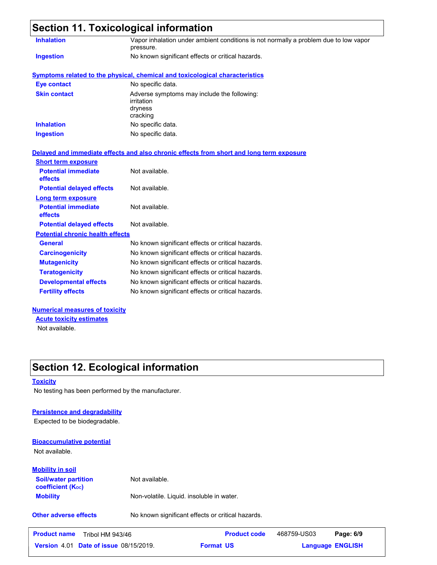| <b>Inhalation</b>                                                                                                             | Vapor inhalation under ambient conditions is not normally a problem due to low vapor<br>pressure. |
|-------------------------------------------------------------------------------------------------------------------------------|---------------------------------------------------------------------------------------------------|
| <b>Ingestion</b>                                                                                                              | No known significant effects or critical hazards.                                                 |
|                                                                                                                               | <b>Symptoms related to the physical, chemical and toxicological characteristics</b>               |
| <b>Eye contact</b>                                                                                                            | No specific data.                                                                                 |
| <b>Skin contact</b>                                                                                                           | Adverse symptoms may include the following:<br>irritation<br>dryness<br>cracking                  |
| <b>Inhalation</b>                                                                                                             | No specific data.                                                                                 |
| <b>Ingestion</b>                                                                                                              | No specific data.                                                                                 |
| <b>Short term exposure</b><br><b>Potential immediate</b><br>effects<br><b>Potential delayed effects</b><br>Long term exposure | Not available.<br>Not available.                                                                  |
| <b>Potential immediate</b>                                                                                                    | Not available.                                                                                    |
| effects                                                                                                                       |                                                                                                   |
| <b>Potential delayed effects</b>                                                                                              | Not available.                                                                                    |
| <b>Potential chronic health effects</b>                                                                                       |                                                                                                   |
|                                                                                                                               | No known significant effects or critical hazards.                                                 |
| <b>General</b>                                                                                                                |                                                                                                   |
| <b>Carcinogenicity</b>                                                                                                        | No known significant effects or critical hazards.                                                 |
| <b>Mutagenicity</b>                                                                                                           | No known significant effects or critical hazards.                                                 |
| <b>Teratogenicity</b>                                                                                                         | No known significant effects or critical hazards.                                                 |
| <b>Developmental effects</b>                                                                                                  | No known significant effects or critical hazards.                                                 |

### Not available. **Acute toxicity estimates**

## **Section 12. Ecological information**

#### **Toxicity**

No testing has been performed by the manufacturer.

#### **Persistence and degradability**

Expected to be biodegradable.

### **Bioaccumulative potential**

Not available.

| <b>Mobility in soil</b>                                 |                                           |
|---------------------------------------------------------|-------------------------------------------|
| <b>Soil/water partition</b><br><b>coefficient (Koc)</b> | Not available.                            |
| <b>Mobility</b>                                         | Non-volatile. Liquid. insoluble in water. |

**Other adverse effects** No known significant effects or critical hazards.

| <b>Product name</b> | Tribol HM 943/46                              |                  | <b>Product code</b> | 468759-US03             | Page: 6/9 |
|---------------------|-----------------------------------------------|------------------|---------------------|-------------------------|-----------|
|                     | <b>Version 4.01 Date of issue 08/15/2019.</b> | <b>Format US</b> |                     | <b>Language ENGLISH</b> |           |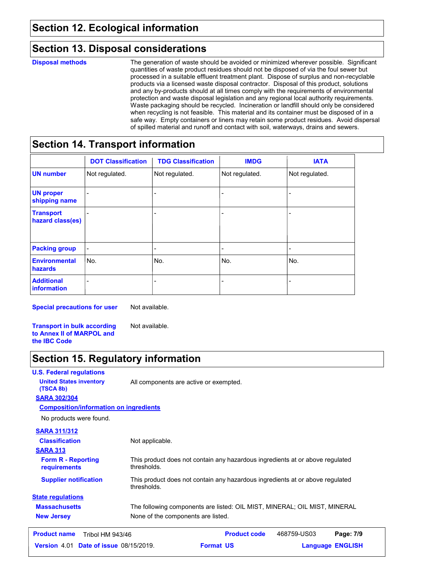### **Section 13. Disposal considerations**

| <b>Disposal methods</b> | The generation of waste should be avoided or minimized wherever possible. Significant    |
|-------------------------|------------------------------------------------------------------------------------------|
|                         | quantities of waste product residues should not be disposed of via the foul sewer but    |
|                         | processed in a suitable effluent treatment plant. Dispose of surplus and non-recyclable  |
|                         | products via a licensed waste disposal contractor. Disposal of this product, solutions   |
|                         | and any by-products should at all times comply with the requirements of environmental    |
|                         | protection and waste disposal legislation and any regional local authority requirements. |
|                         | Waste packaging should be recycled. Incineration or landfill should only be considered   |
|                         | when recycling is not feasible. This material and its container must be disposed of in a |
|                         | safe way. Empty containers or liners may retain some product residues. Avoid dispersal   |
|                         | of spilled material and runoff and contact with soil, waterways, drains and sewers.      |

### **Section 14. Transport information**

|                                         | <b>DOT Classification</b> | <b>TDG Classification</b> | <b>IMDG</b>              | <b>IATA</b>    |
|-----------------------------------------|---------------------------|---------------------------|--------------------------|----------------|
| <b>UN number</b>                        | Not regulated.            | Not regulated.            | Not regulated.           | Not regulated. |
| <b>UN proper</b><br>shipping name       |                           |                           |                          |                |
| <b>Transport</b><br>hazard class(es)    |                           | -                         | $\overline{\phantom{a}}$ |                |
| <b>Packing group</b>                    | -                         | -                         | -                        | ٠              |
| <b>Environmental</b><br>hazards         | No.                       | lNo.                      | No.                      | No.            |
| <b>Additional</b><br><b>information</b> |                           |                           |                          |                |

**Special precautions for user**

Not available.

**Transport in bulk according to Annex II of MARPOL and the IBC Code** Not available.

## **Section 15. Regulatory information**

#### **U.S. Federal regulations Massachusetts** The following components are listed: OIL MIST, MINERAL; OIL MIST, MINERAL **SARA 313** This product does not contain any hazardous ingredients at or above regulated thresholds. This product does not contain any hazardous ingredients at or above regulated thresholds. **Form R - Reporting requirements Supplier notification New Jersey** None of the components are listed. **State regulations SARA 302/304** No products were found. **Composition/information on ingredients SARA 311/312 Classification United States inventory** All components are active or exempted. **(TSCA 8b)** Not applicable. **Date of issue** 08/15/2019. **Format US State of Language ENGLIS Product name Tribol HM 943/46 Product code 468759-US03 Page: 7/9 | Language ENGLISH** 468759-US03 Page: 7/9 **Format US**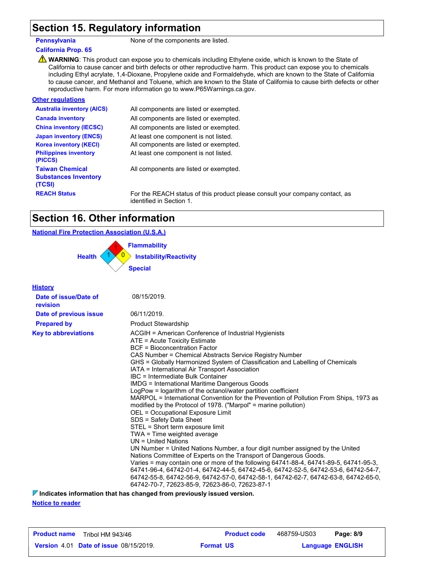### **Section 15. Regulatory information**

**Pennsylvania** None of the components are listed.

#### **California Prop. 65**

**A** WARNING: This product can expose you to chemicals including Ethylene oxide, which is known to the State of California to cause cancer and birth defects or other reproductive harm. This product can expose you to chemicals including Ethyl acrylate, 1,4-Dioxane, Propylene oxide and Formaldehyde, which are known to the State of California to cause cancer, and Methanol and Toluene, which are known to the State of California to cause birth defects or other reproductive harm. For more information go to www.P65Warnings.ca.gov.

| <b>Other regulations</b>                                        |                                             |
|-----------------------------------------------------------------|---------------------------------------------|
| <b>Australia inventory (AICS)</b>                               | All components are listed or exempted.      |
| <b>Canada inventory</b>                                         | All components are listed or exempted.      |
| <b>China inventory (IECSC)</b>                                  | All components are listed or exempted.      |
| <b>Japan inventory (ENCS)</b>                                   | At least one component is not listed.       |
| <b>Korea inventory (KECI)</b>                                   | All components are listed or exempted.      |
| <b>Philippines inventory</b><br>(PICCS)                         | At least one component is not listed.       |
| <b>Taiwan Chemical</b><br><b>Substances Inventory</b><br>(TCSI) | All components are listed or exempted.      |
| <b>REACH Status</b>                                             | For the REACH status of this product please |

**Rease consult your company contact, as** identified in Section 1.

## **Section 16. Other information**

#### **National Fire Protection Association (U.S.A.)**



| <b>History</b>                    |                                                                                                                                                                                                                                                                                                                                                                                                                                                                                                                                                                                                                                                                                                                                                                                                                                                                                                                                                                                                                                                                                                                                                                                                                                                                                                |
|-----------------------------------|------------------------------------------------------------------------------------------------------------------------------------------------------------------------------------------------------------------------------------------------------------------------------------------------------------------------------------------------------------------------------------------------------------------------------------------------------------------------------------------------------------------------------------------------------------------------------------------------------------------------------------------------------------------------------------------------------------------------------------------------------------------------------------------------------------------------------------------------------------------------------------------------------------------------------------------------------------------------------------------------------------------------------------------------------------------------------------------------------------------------------------------------------------------------------------------------------------------------------------------------------------------------------------------------|
| Date of issue/Date of<br>revision | 08/15/2019.                                                                                                                                                                                                                                                                                                                                                                                                                                                                                                                                                                                                                                                                                                                                                                                                                                                                                                                                                                                                                                                                                                                                                                                                                                                                                    |
| Date of previous issue            | 06/11/2019.                                                                                                                                                                                                                                                                                                                                                                                                                                                                                                                                                                                                                                                                                                                                                                                                                                                                                                                                                                                                                                                                                                                                                                                                                                                                                    |
| <b>Prepared by</b>                | <b>Product Stewardship</b>                                                                                                                                                                                                                                                                                                                                                                                                                                                                                                                                                                                                                                                                                                                                                                                                                                                                                                                                                                                                                                                                                                                                                                                                                                                                     |
| <b>Key to abbreviations</b>       | ACGIH = American Conference of Industrial Hygienists<br>ATE = Acute Toxicity Estimate<br><b>BCF</b> = Bioconcentration Factor<br>CAS Number = Chemical Abstracts Service Registry Number<br>GHS = Globally Harmonized System of Classification and Labelling of Chemicals<br>IATA = International Air Transport Association<br>IBC = Intermediate Bulk Container<br><b>IMDG = International Maritime Dangerous Goods</b><br>LogPow = logarithm of the octanol/water partition coefficient<br>MARPOL = International Convention for the Prevention of Pollution From Ships, 1973 as<br>modified by the Protocol of 1978. ("Marpol" = marine pollution)<br>OEL = Occupational Exposure Limit<br>SDS = Safety Data Sheet<br>STEL = Short term exposure limit<br>TWA = Time weighted average<br>UN = United Nations<br>UN Number = United Nations Number, a four digit number assigned by the United<br>Nations Committee of Experts on the Transport of Dangerous Goods.<br>Varies = may contain one or more of the following 64741-88-4, 64741-89-5, 64741-95-3,<br>64741-96-4, 64742-01-4, 64742-44-5, 64742-45-6, 64742-52-5, 64742-53-6, 64742-54-7,<br>64742-55-8, 64742-56-9, 64742-57-0, 64742-58-1, 64742-62-7, 64742-63-8, 64742-65-0,<br>64742-70-7, 72623-85-9, 72623-86-0, 72623-87-1 |

**Indicates information that has changed from previously issued version.**

**Notice to reader**

| <b>Product name</b><br>Tribol HM 943/46       | <b>Product code</b> | 468759-US03             | Page: 8/9 |
|-----------------------------------------------|---------------------|-------------------------|-----------|
| <b>Version 4.01 Date of issue 08/15/2019.</b> | <b>Format US</b>    | <b>Language ENGLISH</b> |           |